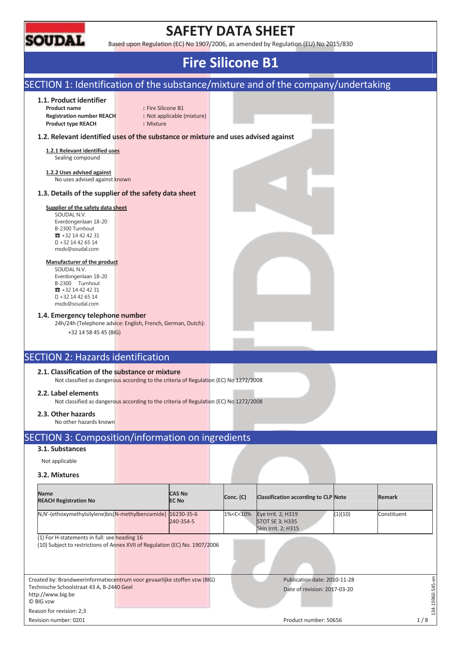

## **SAFETY DATA SHEET**

Based upon Regulation (EC) No 1907/2006, as amended by Regulation (EU) No 2015/830

### **Fire Silicone B1**  SECTION 1: Identification of the substance/mixture and of the company/undertaking **1.1. Product identifier Product name** : Fire Silicone B1 **Registration number REACH :** Not applicable (mixture) **Product type REACH :** Mixture **1.2. Relevant identified uses of the substance or mixture and uses advised against 1.2.1 Relevant identified uses**  Sealing compound **1.2.2 Uses advised against**  No uses advised against known **1.3. Details of the supplier of the safety data sheet Supplier of the safety data sheet**  SOUDAL N.V. Everdongenlaan 18-20 B-2300 Turnhout  $\pi$  +32 14 42 42 31 +32 14 42 65 14 msds@soudal.com **Manufacturer of the product**  SOUDAL N.V. Everdongenlaan 18-20 B-2300 Turnhout  $\overline{3}$  +32 14 42 42 31 +32 14 42 65 14 msds@soudal.com **1.4. Emergency telephone number**  24h/24h (Telephone advice: English, French, German, Dutch): +32 14 58 45 45 (BIG) SECTION 2: Hazards identification **2.1. Classification of the substance or mixture**  Not classified as dangerous according to the criteria of Regulation (EC) No 1272/2008 **2.2. Label elements**  Not classified as dangerous according to the criteria of Regulation (EC) No 1272/2008 **2.3. Other hazards**  No other hazards known SECTION 3: Composition/information on ingredients **3.1. Substances**  Not applicable **3.2. Mixtures Name REACH Registration No CAS No EC No Conc. (C) Classification according to CLP Note Remark**  N,N'-(ethoxymethylsilylene)bis[N-methylbenzamide] 16230-35-6 240-354-5 1%<C<10% Eye Irrit. 2; H319 STOT SE 3; H335 Skin Irrit. 2; H315 (1)(10) Constituent (1) For H-statements in full: see heading 16 (10) Subject to restrictions of Annex XVII of Regulation (EC) No. 1907/2006

Created by: Brandweerinformatiecentrum voor gevaarlijke stoffen vzw (BIG) Technische Schoolstraat 43 A, B-2440 Geel http://www.big.be © BIG vzw Publication date: 2010-11-28 Date of revision: 2017-03-20

Reason for revision: 2;3

134-15960-545-en

 $-15960 - 545 - en$ 

 $-54$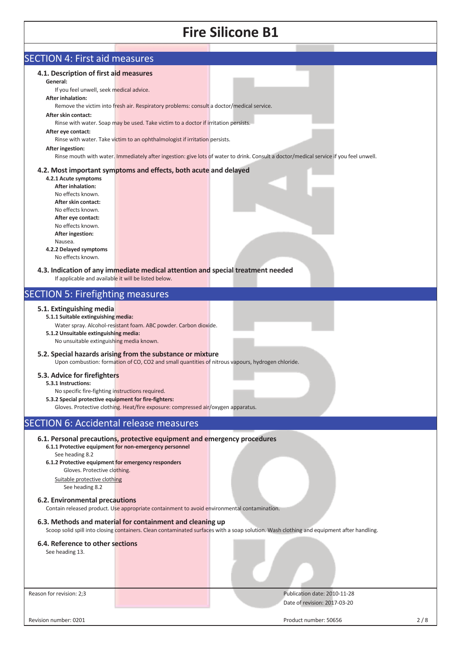| <b>SECTION 4: First aid measures</b>                  |                                                                                                                                                                 |                                                                                                                                          |
|-------------------------------------------------------|-----------------------------------------------------------------------------------------------------------------------------------------------------------------|------------------------------------------------------------------------------------------------------------------------------------------|
| 4.1. Description of first aid measures                |                                                                                                                                                                 |                                                                                                                                          |
| General:                                              |                                                                                                                                                                 |                                                                                                                                          |
| If you feel unwell, seek medical advice.              |                                                                                                                                                                 |                                                                                                                                          |
| <b>After inhalation:</b>                              |                                                                                                                                                                 |                                                                                                                                          |
|                                                       | Remove the victim into fresh air. Respiratory problems: consult a doctor/medical service.                                                                       |                                                                                                                                          |
| After skin contact:                                   |                                                                                                                                                                 |                                                                                                                                          |
|                                                       | Rinse with water. Soap may be used. Take victim to a doctor if irritation persists.                                                                             |                                                                                                                                          |
| After eye contact:                                    |                                                                                                                                                                 |                                                                                                                                          |
|                                                       | Rinse with water. Take victim to an ophthalmologist if irritation persists.                                                                                     |                                                                                                                                          |
| After ingestion:                                      |                                                                                                                                                                 |                                                                                                                                          |
|                                                       |                                                                                                                                                                 | Rinse mouth with water. Immediately after ingestion: give lots of water to drink. Consult a doctor/medical service if you feel unwell.   |
|                                                       | 4.2. Most important symptoms and effects, both acute and delayed                                                                                                |                                                                                                                                          |
| 4.2.1 Acute symptoms                                  |                                                                                                                                                                 |                                                                                                                                          |
| <b>After inhalation:</b>                              |                                                                                                                                                                 |                                                                                                                                          |
| No effects known.                                     |                                                                                                                                                                 |                                                                                                                                          |
| After skin contact:                                   |                                                                                                                                                                 |                                                                                                                                          |
| No effects known.                                     |                                                                                                                                                                 |                                                                                                                                          |
| After eye contact:                                    |                                                                                                                                                                 |                                                                                                                                          |
| No effects known.                                     |                                                                                                                                                                 |                                                                                                                                          |
| <b>After ingestion:</b>                               |                                                                                                                                                                 |                                                                                                                                          |
| Nausea.                                               |                                                                                                                                                                 |                                                                                                                                          |
| 4.2.2 Delayed symptoms<br>No effects known.           |                                                                                                                                                                 |                                                                                                                                          |
|                                                       |                                                                                                                                                                 |                                                                                                                                          |
|                                                       | 4.3. Indication of any immediate medical attention and special treatment needed                                                                                 |                                                                                                                                          |
| If applicable and available it will be listed below.  |                                                                                                                                                                 |                                                                                                                                          |
|                                                       |                                                                                                                                                                 |                                                                                                                                          |
| <b>SECTION 5: Firefighting measures</b>               |                                                                                                                                                                 |                                                                                                                                          |
| 5.1. Extinguishing media                              |                                                                                                                                                                 |                                                                                                                                          |
| 5.1.1 Suitable extinguishing media:                   |                                                                                                                                                                 |                                                                                                                                          |
|                                                       | Water spray. Alcohol-resistant foam. ABC powder. Carbon dioxide.                                                                                                |                                                                                                                                          |
| 5.1.2 Unsuitable extinguishing media:                 |                                                                                                                                                                 |                                                                                                                                          |
| No unsuitable extinguishing media known.              |                                                                                                                                                                 |                                                                                                                                          |
|                                                       |                                                                                                                                                                 |                                                                                                                                          |
|                                                       | 5.2. Special hazards arising from the substance or mixture<br>Upon combustion: formation of CO, CO2 and small quantities of nitrous vapours, hydrogen chloride. |                                                                                                                                          |
|                                                       |                                                                                                                                                                 |                                                                                                                                          |
| 5.3. Advice for firefighters                          |                                                                                                                                                                 |                                                                                                                                          |
| 5.3.1 Instructions:                                   |                                                                                                                                                                 |                                                                                                                                          |
| No specific fire-fighting instructions required.      |                                                                                                                                                                 |                                                                                                                                          |
| 5.3.2 Special protective equipment for fire-fighters: |                                                                                                                                                                 |                                                                                                                                          |
|                                                       | Gloves. Protective clothing. Heat/fire exposure: compressed air/oxygen apparatus.                                                                               |                                                                                                                                          |
| <b>SECTION 6: Accidental release measures</b>         |                                                                                                                                                                 |                                                                                                                                          |
|                                                       |                                                                                                                                                                 |                                                                                                                                          |
|                                                       | 6.1. Personal precautions, protective equipment and emergency procedures                                                                                        |                                                                                                                                          |
|                                                       | 6.1.1 Protective equipment for non-emergency personnel                                                                                                          |                                                                                                                                          |
| See heading 8.2                                       |                                                                                                                                                                 |                                                                                                                                          |
| 6.1.2 Protective equipment for emergency responders   |                                                                                                                                                                 |                                                                                                                                          |
| Gloves. Protective clothing.                          |                                                                                                                                                                 |                                                                                                                                          |
| Suitable protective clothing                          |                                                                                                                                                                 |                                                                                                                                          |
| See heading 8.2                                       |                                                                                                                                                                 |                                                                                                                                          |
| 6.2. Environmental precautions                        |                                                                                                                                                                 |                                                                                                                                          |
|                                                       | Contain released product. Use appropriate containment to avoid environmental contamination.                                                                     |                                                                                                                                          |
|                                                       |                                                                                                                                                                 |                                                                                                                                          |
|                                                       | 6.3. Methods and material for containment and cleaning up                                                                                                       |                                                                                                                                          |
|                                                       |                                                                                                                                                                 | Scoop solid spill into closing containers. Clean contaminated surfaces with a soap solution. Wash clothing and equipment after handling. |
| 6.4. Reference to other sections                      |                                                                                                                                                                 |                                                                                                                                          |
| See heading 13.                                       |                                                                                                                                                                 |                                                                                                                                          |
|                                                       |                                                                                                                                                                 |                                                                                                                                          |
|                                                       |                                                                                                                                                                 |                                                                                                                                          |
|                                                       |                                                                                                                                                                 |                                                                                                                                          |
|                                                       |                                                                                                                                                                 |                                                                                                                                          |
| Reason for revision: 2;3                              |                                                                                                                                                                 | Publication date: 2010-11-28                                                                                                             |
|                                                       |                                                                                                                                                                 | Date of revision: 2017-03-20                                                                                                             |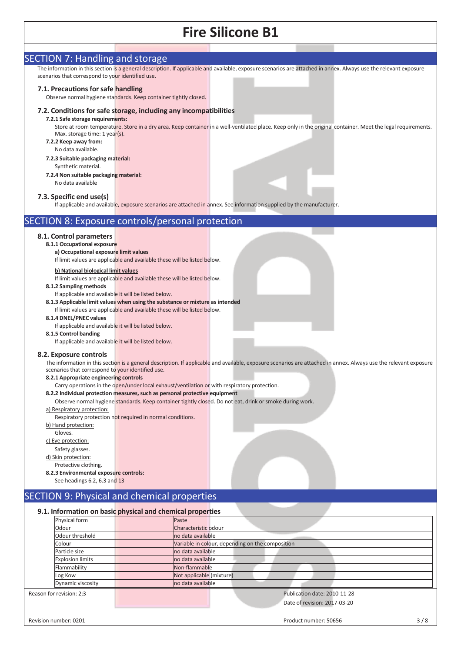| <b>SECTION 7: Handling and storage</b>                                                                                                                            |
|-------------------------------------------------------------------------------------------------------------------------------------------------------------------|
| The information in this section is a general description. If applicable and available, exposure scenarios are attached in annex. Always use the relevant exposure |
| scenarios that correspond to your identified use.                                                                                                                 |
|                                                                                                                                                                   |
| 7.1. Precautions for safe handling                                                                                                                                |
| Observe normal hygiene standards. Keep container tightly closed.                                                                                                  |
|                                                                                                                                                                   |
| 7.2. Conditions for safe storage, including any incompatibilities                                                                                                 |
| 7.2.1 Safe storage requirements:                                                                                                                                  |
| Store at room temperature. Store in a dry area. Keep container in a well-ventilated place. Keep only in the original container. Meet the legal requirements.      |
| Max. storage time: 1 year(s).                                                                                                                                     |
| 7.2.2 Keep away from:                                                                                                                                             |
| No data available.                                                                                                                                                |
| 7.2.3 Suitable packaging material:                                                                                                                                |
| Synthetic material.                                                                                                                                               |
| 7.2.4 Non suitable packaging material:                                                                                                                            |
| No data available                                                                                                                                                 |
|                                                                                                                                                                   |
| 7.3. Specific end use(s)                                                                                                                                          |
| If applicable and available, exposure scenarios are attached in annex. See information supplied by the manufacturer.                                              |
|                                                                                                                                                                   |
| <b>SECTION 8: Exposure controls/personal protection</b>                                                                                                           |
|                                                                                                                                                                   |
| 8.1. Control parameters                                                                                                                                           |
| 8.1.1 Occupational exposure                                                                                                                                       |
| a) Occupational exposure limit values                                                                                                                             |
| If limit values are applicable and available these will be listed below.                                                                                          |
|                                                                                                                                                                   |
| b) National biological limit values                                                                                                                               |
| If limit values are applicable and available these will be listed below.                                                                                          |
| 8.1.2 Sampling methods                                                                                                                                            |
| If applicable and available it will be listed below.                                                                                                              |
| 8.1.3 Applicable limit values when using the substance or mixture as intended                                                                                     |
| If limit values are applicable and available these will be listed below.                                                                                          |
| 8.1.4 DNEL/PNEC values                                                                                                                                            |
| If applicable and available it will be listed below.                                                                                                              |
| 8.1.5 Control banding                                                                                                                                             |
| If applicable and available it will be listed below.                                                                                                              |
|                                                                                                                                                                   |
| 8.2. Exposure controls                                                                                                                                            |
| The information in this section is a general description. If applicable and available, exposure scenarios are attached in annex. Always use the relevant exposure |
| scenarios that correspond to your identified use.                                                                                                                 |
| 8.2.1 Appropriate engineering controls                                                                                                                            |
| Carry operations in the open/under local exhaust/ventilation or with respiratory protection.                                                                      |
| 8.2.2 Individual protection measures, such as personal protective equipment                                                                                       |
| Observe normal hygiene standards. Keep container tightly closed. Do not eat, drink or smoke during work.                                                          |
| a) Respiratory protection:                                                                                                                                        |
| Respiratory protection not required in normal conditions.                                                                                                         |
| b) Hand protection:                                                                                                                                               |
| Gloves.                                                                                                                                                           |
| c) Eye protection:                                                                                                                                                |
| Safety glasses.                                                                                                                                                   |
| d) Skin protection:                                                                                                                                               |
| Protective clothing.                                                                                                                                              |
| 8.2.3 Environmental exposure controls:                                                                                                                            |
| See headings 6.2, 6.3 and 13                                                                                                                                      |
|                                                                                                                                                                   |
| SECTION 9: Physical and chemical properties                                                                                                                       |
|                                                                                                                                                                   |
| 9.1. Information on basic physical and chemical properties                                                                                                        |
| Physical form<br>Paste                                                                                                                                            |

| Physical form            | Paste                                            |
|--------------------------|--------------------------------------------------|
| Odour                    | Characteristic odour                             |
| Odour threshold          | no data available                                |
| Colour                   | Variable in colour, depending on the composition |
| Particle size            | no data available                                |
| <b>Explosion limits</b>  | no data available                                |
| Flammability             | Non-flammable                                    |
| Log Kow                  | Not applicable (mixture)                         |
| Dynamic viscosity        | no data available                                |
| Reason for revision: 2;3 | Publication date: 2010-11-28                     |
|                          | Date of revision: 2017-03-20                     |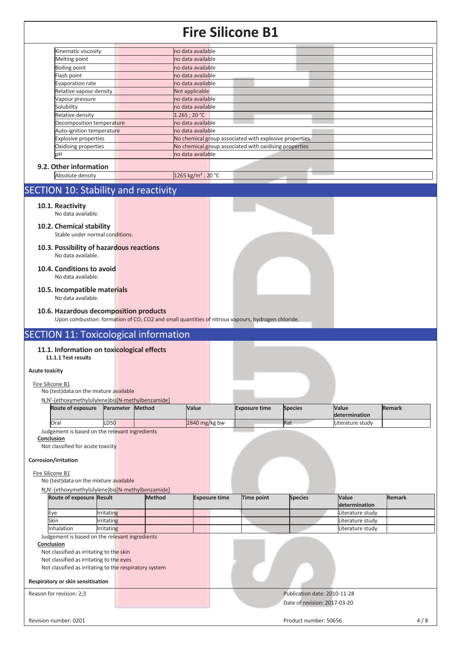| Kinematic viscosity         | no data available                                      |  |
|-----------------------------|--------------------------------------------------------|--|
| Melting point               | no data available                                      |  |
| <b>Boiling point</b>        | no data available                                      |  |
| Flash point                 | no data available                                      |  |
| Evaporation rate            | no data available                                      |  |
| Relative vapour density     | Not applicable                                         |  |
| Vapour pressure             | no data available                                      |  |
| Solubility                  | no data available                                      |  |
| Relative density            | 1.265:20 °C                                            |  |
| Decomposition temperature   | no data available                                      |  |
| Auto-ignition temperature   | no data available                                      |  |
| <b>Explosive properties</b> | No chemical group associated with explosive properties |  |
| Oxidising properties        | No chemical group associated with oxidising properties |  |
| þН                          | no data available                                      |  |

Absolute density 1265 kg/m<sup>3</sup> ; 20 °C

### SECTION 10: Stability and reactivity

#### **10.1. Reactivity**

No data available.

#### **10.2. Chemical stability**  Stable under normal conditions.

- **10.3. Possibility of hazardous reactions**  No data available.
- **10.4. Conditions to avoid**  No data available.
- **10.5. Incompatible materials**  No data available.

### **10.6. Hazardous decomposition products**

Upon combustion: formation of CO, CO2 and small quantities of nitrous vapours, hydrogen chloride.

## SECTION 11: Toxicological information

#### **11.1. Information on toxicological effects 11.1.1 Test results**

## **Acute toxicity**

#### Fire Silicone B1

No (test)data on the mixture available

| N,N'-(ethoxymethylsilylene)bis[N-methylbenzamide] |                         |                 |                      |                |                  |               |
|---------------------------------------------------|-------------------------|-----------------|----------------------|----------------|------------------|---------------|
| <b>Route of exposure</b>                          | <b>Parameter Method</b> | Value           | <b>Exposure time</b> | <b>Species</b> | <b>Value</b>     | <b>Remark</b> |
|                                                   |                         |                 |                      |                | determination    |               |
| <b>Oral</b>                                       | <b>LD50</b>             | $2840$ mg/kg bw |                      | Rat            | Literature study |               |
| Judgement is based on the relevant ingredients    |                         |                 |                      |                |                  |               |

### **Conclusion**

Not classified for acute toxicity

## **Corrosion/irritation**

#### Fire Silicone B1

No (test)data on the mixture available

### N,N'-(ethoxymethylsilylene)bis[N-methylbenzamide]

| Route of exposure Result |                   | <b>Method</b> | <b>Exposure time</b> | Time point | <b>Species</b> | <b>Value</b>     | <b>Remark</b> |
|--------------------------|-------------------|---------------|----------------------|------------|----------------|------------------|---------------|
|                          |                   |               |                      |            |                | determination    |               |
| Eve                      | <b>Irritating</b> |               |                      |            |                | Literature study |               |
| Skin                     | <b>Irritating</b> |               |                      |            |                | Literature study |               |
| Inhalation               | Irritating        |               |                      |            |                | Literature study |               |

Judgement is based on the relevant ingredients

#### **Conclusion**

Not classified as irritating to the skin

Not classified as irritating to the eyes

```
Not classified as irritating to the respiratory system
```
### **Respiratory or skin sensitisation**

Reason for revision: 2;3 Publication date: 2010-11-28

## Date of revision: 2017-03-20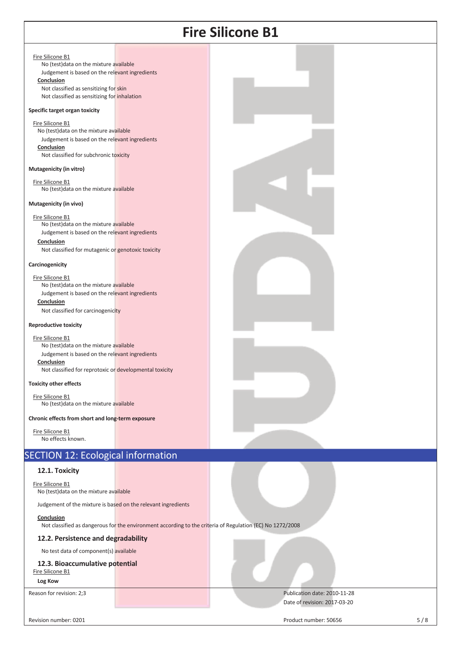#### Fire Silicone B1

No (test)data on the mixture available Judgement is based on the relevant ingredients **Conclusion** 

Not classified as sensitizing for skin Not classified as sensitizing for inhalation

#### **Specific target organ toxicity**

Fire Silicone B1 No (test)data on the mixture available Judgement is based on the relevant ingredients **Conclusion**  Not classified for subchronic toxicity

#### **Mutagenicity (in vitro)**

Fire Silicone B1 No (test)data on the mixture available

#### **Mutagenicity (in vivo)**

Fire Silicone B1 No (test)data on the mixture available Judgement is based on the relevant ingredients

**Conclusion** 

Not classified for mutagenic or genotoxic toxicity

#### **Carcinogenicity**

Fire Silicone B1

No (test)data on the mixture available Judgement is based on the relevant ingredients **Conclusion**  Not classified for carcinogenicity

#### **Reproductive toxicity**

Fire Silicone B1 No (test)data on the mixture available Judgement is based on the relevant ingredients **Conclusion**  Not classified for reprotoxic or developmental toxicity

#### **Toxicity other effects**

Fire Silicone B1 No (test)data on the mixture available

**Chronic effects from short and long-term exposure** 

Fire Silicone B1 No effects known.

## SECTION 12: Ecological information

#### **12.1. Toxicity**

Fire Silicone B1 No (test)data on the mixture available

Judgement of the mixture is based on the relevant ingredients

#### **Conclusion**

Not classified as dangerous for the environment according to the criteria of Regulation (EC) No 1272/2008

### **12.2. Persistence and degradability**

No test data of component(s) available

### **12.3. Bioaccumulative potential**

Fire Silicone B1

**Log Kow**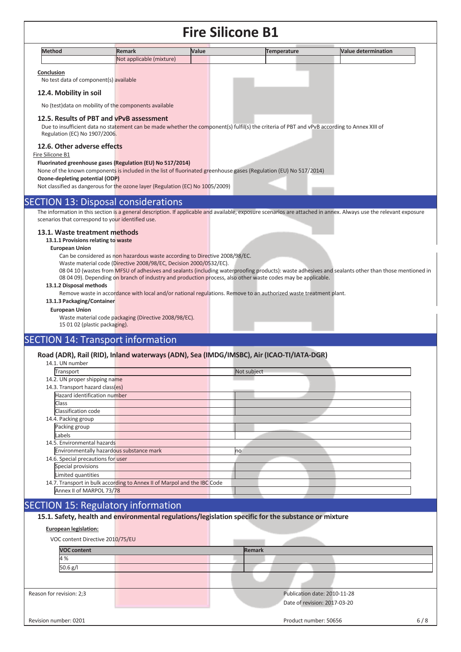| Methoc | <b>Remark</b>                                                       | <b>Value</b> |  | ermination<br>11.12 |
|--------|---------------------------------------------------------------------|--------------|--|---------------------|
|        | <b>Not</b><br>t applicable (mixture)<br>$ \left(\frac{1}{2}\right)$ |              |  |                     |
|        |                                                                     |              |  |                     |

#### **Conclusion**

No test data of component(s) available

#### **12.4. Mobility in soil**

No (test)data on mobility of the components available

#### **12.5. Results of PBT and vPvB assessment**

Due to insufficient data no statement can be made whether the component(s) fulfil(s) the criteria of PBT and vPvB according to Annex XIII of Regulation (EC) No 1907/2006.

#### **12.6. Other adverse effects**

#### Fire Silicone B1

#### **Fluorinated greenhouse gases (Regulation (EU) No 517/2014)**

None of the known components is included in the list of fluorinated greenhouse gases (Regulation (EU) No 517/2014)

**Ozone-depleting potential (ODP)** 

Not classified as dangerous for the ozone layer (Regulation (EC) No 1005/2009)

### SECTION 13: Disposal considerations

The information in this section is a general description. If applicable and available, exposure scenarios are attached in annex. Always use the relevant exposure scenarios that correspond to your identified use.

#### **13.1. Waste treatment methods**

**13.1.1 Provisions relating to waste** 

#### **European Union**

Can be considered as non hazardous waste according to Directive 2008/98/EC.

Waste material code (Directive 2008/98/EC, Decision 2000/0532/EC).

08 04 10 (wastes from MFSU of adhesives and sealants (including waterproofing products): waste adhesives and sealants other than those mentioned in 08 04 09). Depending on branch of industry and production process, also other waste codes may be applicable.

#### **13.1.2 Disposal methods**

Remove waste in accordance with local and/or national regulations. Remove to an authorized waste treatment plant.

#### **13.1.3 Packaging/Container**

#### **European Union**

Waste material code packaging (Directive 2008/98/EC). 15 01 02 (plastic packaging).

## SECTION 14: Transport information

#### **Road (ADR), Rail (RID), Inland waterways (ADN), Sea (IMDG/IMSBC), Air (ICAO-TI/IATA-DGR)**

| 14.1. UN number                          |                                                                          |             |
|------------------------------------------|--------------------------------------------------------------------------|-------------|
| Transport                                |                                                                          | Not subject |
| 14.2. UN proper shipping name            |                                                                          |             |
| 14.3. Transport hazard class(es)         |                                                                          |             |
| Hazard identification number             |                                                                          |             |
| Class                                    |                                                                          |             |
| Classification code                      |                                                                          |             |
| 14.4. Packing group                      |                                                                          |             |
| Packing group                            |                                                                          |             |
| Labels                                   |                                                                          |             |
| 14.5. Environmental hazards              |                                                                          |             |
| Environmentally hazardous substance mark |                                                                          | no          |
| 14.6. Special precautions for user       |                                                                          |             |
| Special provisions                       |                                                                          |             |
| Limited quantities                       |                                                                          |             |
|                                          | 14.7. Transport in bulk according to Annex II of Marpol and the IBC Code |             |
| Annex II of MARPOL 73/78                 |                                                                          |             |

### SECTION 15: Regulatory information

|  | 15.1. Safety, health and environmental regulations/legislation specific for the substance or mixture |  |
|--|------------------------------------------------------------------------------------------------------|--|
|  |                                                                                                      |  |

#### **European legislation:**

| VOC content Directive 2010/75/EU |                              |
|----------------------------------|------------------------------|
| <b>VOC content</b>               | <b>Remark</b>                |
| 4 %                              |                              |
| 50.6 g/l                         |                              |
|                                  |                              |
| Reason for revision: 2;3         | Publication date: 2010-11-28 |
|                                  | Date of revision: 2017-03-20 |
| Revision number: 0201            | Product number: 50656<br>6/8 |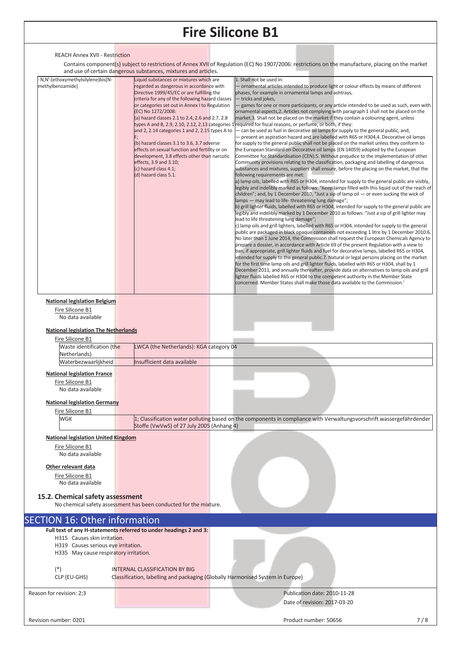#### REACH Annex XVII - Restriction

 Contains component(s) subject to restrictions of Annex XVII of Regulation (EC) No 1907/2006: restrictions on the manufacture, placing on the market and use of certain dangerous substances, mixtures and articles.

| N,N'-(ethoxymethylsilylene)bis[N-<br>methylbenzamide]                         | Liquid substances or mixtures which are<br>regarded as dangerous in accordance with<br>Directive 1999/45/EC or are fulfilling the<br>criteria for any of the following hazard classes<br>or categories set out in Annex I to Regulation<br>(EC) No 1272/2008:<br>(a) hazard classes 2.1 to 2.4, 2.6 and 2.7, 2.8<br>and 2, 2.14 categories 1 and 2, 2.15 types A to<br>(b) hazard classes 3.1 to 3.6, 3.7 adverse<br>effects on sexual function and fertility or on<br>development, 3.8 effects other than narcotic<br>effects, 3.9 and 3.10;<br>(c) hazard class 4.1;<br>(d) hazard class 5.1. | 1. Shall not be used in:<br>ornamental articles intended to produce light or colour effects by means of different<br>phases, for example in ornamental lamps and ashtrays,<br>- tricks and jokes,<br>games for one or more participants, or any article intended to be used as such, even with<br>ornamental aspects, 2. Articles not complying with paragraph 1 shall not be placed on the<br>market.3. Shall not be placed on the market if they contain a colouring agent, unless<br>types A and B, 2.9, 2.10, 2.12, 2.13 categories 1 required for fiscal reasons, or perfume, or both, if they:<br>- can be used as fuel in decorative oil lamps for supply to the general public, and,<br>- present an aspiration hazard and are labelled with R65 or H304,4. Decorative oil lamps<br>for supply to the general public shall not be placed on the market unless they conform to<br>the European Standard on Decorative oil lamps (EN 14059) adopted by the European<br>Committee for Standardisation (CEN).5. Without prejudice to the implementation of other<br>Community provisions relating to the classification, packaging and labelling of dangerous<br>substances and mixtures, suppliers shall ensure, before the placing on the market, that the<br>following requirements are met:<br>a) lamp oils, labelled with R65 or H304, intended for supply to the general public are visibly,<br>legibly and indelibly marked as follows: "Keep lamps filled with this liquid out of the reach of<br>children"; and, by 1 December 2010, "Just a sip of lamp oil — or even sucking the wick of<br>lamps - may lead to life-threatening lung damage";<br>b) grill lighter fluids, labelled with R65 or H304, intended for supply to the general public are<br>egibly and indelibly marked by 1 December 2010 as follows: "Just a sip of grill lighter may<br>lead to life threatening lung damage";<br>c) lamp oils and grill lighters, labelled with R65 or H304, intended for supply to the general<br>public are packaged in black opaque containers not exceeding 1 litre by 1 December 2010.6.<br>No later than 1 June 2014, the Commission shall request the European Chemicals Agency to<br>prepare a dossier, in accordance with Article 69 of the present Regulation with a view to<br>ban, if appropriate, grill lighter fluids and fuel for decorative lamps, labelled R65 or H304,<br>intended for supply to the general public.7. Natural or legal persons placing on the market<br>for the first time lamp oils and grill lighter fluids, labelled with R65 or H304, shall by 1<br>December 2011, and annually thereafter, provide data on alternatives to lamp oils and grill<br>lighter fluids labelled R65 or H304 to the competent authority in the Member State<br>concerned. Member States shall make those data available to the Commission.' |     |
|-------------------------------------------------------------------------------|-------------------------------------------------------------------------------------------------------------------------------------------------------------------------------------------------------------------------------------------------------------------------------------------------------------------------------------------------------------------------------------------------------------------------------------------------------------------------------------------------------------------------------------------------------------------------------------------------|----------------------------------------------------------------------------------------------------------------------------------------------------------------------------------------------------------------------------------------------------------------------------------------------------------------------------------------------------------------------------------------------------------------------------------------------------------------------------------------------------------------------------------------------------------------------------------------------------------------------------------------------------------------------------------------------------------------------------------------------------------------------------------------------------------------------------------------------------------------------------------------------------------------------------------------------------------------------------------------------------------------------------------------------------------------------------------------------------------------------------------------------------------------------------------------------------------------------------------------------------------------------------------------------------------------------------------------------------------------------------------------------------------------------------------------------------------------------------------------------------------------------------------------------------------------------------------------------------------------------------------------------------------------------------------------------------------------------------------------------------------------------------------------------------------------------------------------------------------------------------------------------------------------------------------------------------------------------------------------------------------------------------------------------------------------------------------------------------------------------------------------------------------------------------------------------------------------------------------------------------------------------------------------------------------------------------------------------------------------------------------------------------------------------------------------------------------------------------------------------------------------------------------------------------------------------------------------------------------------------------------------------------------------------------------------------------------------------------------------------------------------------------------------------------------------------------------------------------------------------------|-----|
|                                                                               |                                                                                                                                                                                                                                                                                                                                                                                                                                                                                                                                                                                                 |                                                                                                                                                                                                                                                                                                                                                                                                                                                                                                                                                                                                                                                                                                                                                                                                                                                                                                                                                                                                                                                                                                                                                                                                                                                                                                                                                                                                                                                                                                                                                                                                                                                                                                                                                                                                                                                                                                                                                                                                                                                                                                                                                                                                                                                                                                                                                                                                                                                                                                                                                                                                                                                                                                                                                                                                                                                                            |     |
| <b>National legislation Belgium</b><br>Fire Silicone B1<br>No data available  |                                                                                                                                                                                                                                                                                                                                                                                                                                                                                                                                                                                                 |                                                                                                                                                                                                                                                                                                                                                                                                                                                                                                                                                                                                                                                                                                                                                                                                                                                                                                                                                                                                                                                                                                                                                                                                                                                                                                                                                                                                                                                                                                                                                                                                                                                                                                                                                                                                                                                                                                                                                                                                                                                                                                                                                                                                                                                                                                                                                                                                                                                                                                                                                                                                                                                                                                                                                                                                                                                                            |     |
| <b>National legislation The Netherlands</b>                                   |                                                                                                                                                                                                                                                                                                                                                                                                                                                                                                                                                                                                 |                                                                                                                                                                                                                                                                                                                                                                                                                                                                                                                                                                                                                                                                                                                                                                                                                                                                                                                                                                                                                                                                                                                                                                                                                                                                                                                                                                                                                                                                                                                                                                                                                                                                                                                                                                                                                                                                                                                                                                                                                                                                                                                                                                                                                                                                                                                                                                                                                                                                                                                                                                                                                                                                                                                                                                                                                                                                            |     |
| Fire Silicone B1<br>Waste identification (the                                 | LWCA (the Netherlands): KGA category 04                                                                                                                                                                                                                                                                                                                                                                                                                                                                                                                                                         |                                                                                                                                                                                                                                                                                                                                                                                                                                                                                                                                                                                                                                                                                                                                                                                                                                                                                                                                                                                                                                                                                                                                                                                                                                                                                                                                                                                                                                                                                                                                                                                                                                                                                                                                                                                                                                                                                                                                                                                                                                                                                                                                                                                                                                                                                                                                                                                                                                                                                                                                                                                                                                                                                                                                                                                                                                                                            |     |
| Netherlands)                                                                  |                                                                                                                                                                                                                                                                                                                                                                                                                                                                                                                                                                                                 |                                                                                                                                                                                                                                                                                                                                                                                                                                                                                                                                                                                                                                                                                                                                                                                                                                                                                                                                                                                                                                                                                                                                                                                                                                                                                                                                                                                                                                                                                                                                                                                                                                                                                                                                                                                                                                                                                                                                                                                                                                                                                                                                                                                                                                                                                                                                                                                                                                                                                                                                                                                                                                                                                                                                                                                                                                                                            |     |
| Waterbezwaarlijkheid                                                          | Insufficient data available                                                                                                                                                                                                                                                                                                                                                                                                                                                                                                                                                                     |                                                                                                                                                                                                                                                                                                                                                                                                                                                                                                                                                                                                                                                                                                                                                                                                                                                                                                                                                                                                                                                                                                                                                                                                                                                                                                                                                                                                                                                                                                                                                                                                                                                                                                                                                                                                                                                                                                                                                                                                                                                                                                                                                                                                                                                                                                                                                                                                                                                                                                                                                                                                                                                                                                                                                                                                                                                                            |     |
| <b>National legislation France</b><br>Fire Silicone B1<br>No data available   |                                                                                                                                                                                                                                                                                                                                                                                                                                                                                                                                                                                                 |                                                                                                                                                                                                                                                                                                                                                                                                                                                                                                                                                                                                                                                                                                                                                                                                                                                                                                                                                                                                                                                                                                                                                                                                                                                                                                                                                                                                                                                                                                                                                                                                                                                                                                                                                                                                                                                                                                                                                                                                                                                                                                                                                                                                                                                                                                                                                                                                                                                                                                                                                                                                                                                                                                                                                                                                                                                                            |     |
| <b>National legislation Germany</b>                                           |                                                                                                                                                                                                                                                                                                                                                                                                                                                                                                                                                                                                 |                                                                                                                                                                                                                                                                                                                                                                                                                                                                                                                                                                                                                                                                                                                                                                                                                                                                                                                                                                                                                                                                                                                                                                                                                                                                                                                                                                                                                                                                                                                                                                                                                                                                                                                                                                                                                                                                                                                                                                                                                                                                                                                                                                                                                                                                                                                                                                                                                                                                                                                                                                                                                                                                                                                                                                                                                                                                            |     |
| Fire Silicone B1<br><b>WGK</b>                                                |                                                                                                                                                                                                                                                                                                                                                                                                                                                                                                                                                                                                 | 1; Classification water polluting based on the components in compliance with Verwaltungsvorschrift wassergefährdender                                                                                                                                                                                                                                                                                                                                                                                                                                                                                                                                                                                                                                                                                                                                                                                                                                                                                                                                                                                                                                                                                                                                                                                                                                                                                                                                                                                                                                                                                                                                                                                                                                                                                                                                                                                                                                                                                                                                                                                                                                                                                                                                                                                                                                                                                                                                                                                                                                                                                                                                                                                                                                                                                                                                                      |     |
|                                                                               | Stoffe (VwVwS) of 27 July 2005 (Anhang 4)                                                                                                                                                                                                                                                                                                                                                                                                                                                                                                                                                       |                                                                                                                                                                                                                                                                                                                                                                                                                                                                                                                                                                                                                                                                                                                                                                                                                                                                                                                                                                                                                                                                                                                                                                                                                                                                                                                                                                                                                                                                                                                                                                                                                                                                                                                                                                                                                                                                                                                                                                                                                                                                                                                                                                                                                                                                                                                                                                                                                                                                                                                                                                                                                                                                                                                                                                                                                                                                            |     |
| <b>National legislation United Kingdom</b>                                    |                                                                                                                                                                                                                                                                                                                                                                                                                                                                                                                                                                                                 |                                                                                                                                                                                                                                                                                                                                                                                                                                                                                                                                                                                                                                                                                                                                                                                                                                                                                                                                                                                                                                                                                                                                                                                                                                                                                                                                                                                                                                                                                                                                                                                                                                                                                                                                                                                                                                                                                                                                                                                                                                                                                                                                                                                                                                                                                                                                                                                                                                                                                                                                                                                                                                                                                                                                                                                                                                                                            |     |
| Fire Silicone B1<br>No data available                                         |                                                                                                                                                                                                                                                                                                                                                                                                                                                                                                                                                                                                 |                                                                                                                                                                                                                                                                                                                                                                                                                                                                                                                                                                                                                                                                                                                                                                                                                                                                                                                                                                                                                                                                                                                                                                                                                                                                                                                                                                                                                                                                                                                                                                                                                                                                                                                                                                                                                                                                                                                                                                                                                                                                                                                                                                                                                                                                                                                                                                                                                                                                                                                                                                                                                                                                                                                                                                                                                                                                            |     |
| Other relevant data                                                           |                                                                                                                                                                                                                                                                                                                                                                                                                                                                                                                                                                                                 |                                                                                                                                                                                                                                                                                                                                                                                                                                                                                                                                                                                                                                                                                                                                                                                                                                                                                                                                                                                                                                                                                                                                                                                                                                                                                                                                                                                                                                                                                                                                                                                                                                                                                                                                                                                                                                                                                                                                                                                                                                                                                                                                                                                                                                                                                                                                                                                                                                                                                                                                                                                                                                                                                                                                                                                                                                                                            |     |
| Fire Silicone B1                                                              |                                                                                                                                                                                                                                                                                                                                                                                                                                                                                                                                                                                                 |                                                                                                                                                                                                                                                                                                                                                                                                                                                                                                                                                                                                                                                                                                                                                                                                                                                                                                                                                                                                                                                                                                                                                                                                                                                                                                                                                                                                                                                                                                                                                                                                                                                                                                                                                                                                                                                                                                                                                                                                                                                                                                                                                                                                                                                                                                                                                                                                                                                                                                                                                                                                                                                                                                                                                                                                                                                                            |     |
| No data available<br>15.2. Chemical safety assessment                         | No chemical safety assessment has been conducted for the mixture.                                                                                                                                                                                                                                                                                                                                                                                                                                                                                                                               |                                                                                                                                                                                                                                                                                                                                                                                                                                                                                                                                                                                                                                                                                                                                                                                                                                                                                                                                                                                                                                                                                                                                                                                                                                                                                                                                                                                                                                                                                                                                                                                                                                                                                                                                                                                                                                                                                                                                                                                                                                                                                                                                                                                                                                                                                                                                                                                                                                                                                                                                                                                                                                                                                                                                                                                                                                                                            |     |
|                                                                               |                                                                                                                                                                                                                                                                                                                                                                                                                                                                                                                                                                                                 |                                                                                                                                                                                                                                                                                                                                                                                                                                                                                                                                                                                                                                                                                                                                                                                                                                                                                                                                                                                                                                                                                                                                                                                                                                                                                                                                                                                                                                                                                                                                                                                                                                                                                                                                                                                                                                                                                                                                                                                                                                                                                                                                                                                                                                                                                                                                                                                                                                                                                                                                                                                                                                                                                                                                                                                                                                                                            |     |
| <b>SECTION 16: Other information</b>                                          | Full text of any H-statements referred to under headings 2 and 3:                                                                                                                                                                                                                                                                                                                                                                                                                                                                                                                               |                                                                                                                                                                                                                                                                                                                                                                                                                                                                                                                                                                                                                                                                                                                                                                                                                                                                                                                                                                                                                                                                                                                                                                                                                                                                                                                                                                                                                                                                                                                                                                                                                                                                                                                                                                                                                                                                                                                                                                                                                                                                                                                                                                                                                                                                                                                                                                                                                                                                                                                                                                                                                                                                                                                                                                                                                                                                            |     |
| H315 Causes skin irritation.                                                  |                                                                                                                                                                                                                                                                                                                                                                                                                                                                                                                                                                                                 |                                                                                                                                                                                                                                                                                                                                                                                                                                                                                                                                                                                                                                                                                                                                                                                                                                                                                                                                                                                                                                                                                                                                                                                                                                                                                                                                                                                                                                                                                                                                                                                                                                                                                                                                                                                                                                                                                                                                                                                                                                                                                                                                                                                                                                                                                                                                                                                                                                                                                                                                                                                                                                                                                                                                                                                                                                                                            |     |
| H319 Causes serious eye irritation.<br>H335 May cause respiratory irritation. |                                                                                                                                                                                                                                                                                                                                                                                                                                                                                                                                                                                                 |                                                                                                                                                                                                                                                                                                                                                                                                                                                                                                                                                                                                                                                                                                                                                                                                                                                                                                                                                                                                                                                                                                                                                                                                                                                                                                                                                                                                                                                                                                                                                                                                                                                                                                                                                                                                                                                                                                                                                                                                                                                                                                                                                                                                                                                                                                                                                                                                                                                                                                                                                                                                                                                                                                                                                                                                                                                                            |     |
|                                                                               |                                                                                                                                                                                                                                                                                                                                                                                                                                                                                                                                                                                                 |                                                                                                                                                                                                                                                                                                                                                                                                                                                                                                                                                                                                                                                                                                                                                                                                                                                                                                                                                                                                                                                                                                                                                                                                                                                                                                                                                                                                                                                                                                                                                                                                                                                                                                                                                                                                                                                                                                                                                                                                                                                                                                                                                                                                                                                                                                                                                                                                                                                                                                                                                                                                                                                                                                                                                                                                                                                                            |     |
| $(*)$<br>CLP (EU-GHS)                                                         | <b>INTERNAL CLASSIFICATION BY BIG</b><br>Classification, labelling and packaging (Globally Harmonised System in Europe)                                                                                                                                                                                                                                                                                                                                                                                                                                                                         |                                                                                                                                                                                                                                                                                                                                                                                                                                                                                                                                                                                                                                                                                                                                                                                                                                                                                                                                                                                                                                                                                                                                                                                                                                                                                                                                                                                                                                                                                                                                                                                                                                                                                                                                                                                                                                                                                                                                                                                                                                                                                                                                                                                                                                                                                                                                                                                                                                                                                                                                                                                                                                                                                                                                                                                                                                                                            |     |
| Reason for revision: 2;3                                                      |                                                                                                                                                                                                                                                                                                                                                                                                                                                                                                                                                                                                 | Publication date: 2010-11-28                                                                                                                                                                                                                                                                                                                                                                                                                                                                                                                                                                                                                                                                                                                                                                                                                                                                                                                                                                                                                                                                                                                                                                                                                                                                                                                                                                                                                                                                                                                                                                                                                                                                                                                                                                                                                                                                                                                                                                                                                                                                                                                                                                                                                                                                                                                                                                                                                                                                                                                                                                                                                                                                                                                                                                                                                                               |     |
|                                                                               |                                                                                                                                                                                                                                                                                                                                                                                                                                                                                                                                                                                                 | Date of revision: 2017-03-20                                                                                                                                                                                                                                                                                                                                                                                                                                                                                                                                                                                                                                                                                                                                                                                                                                                                                                                                                                                                                                                                                                                                                                                                                                                                                                                                                                                                                                                                                                                                                                                                                                                                                                                                                                                                                                                                                                                                                                                                                                                                                                                                                                                                                                                                                                                                                                                                                                                                                                                                                                                                                                                                                                                                                                                                                                               |     |
| Revision number: 0201                                                         |                                                                                                                                                                                                                                                                                                                                                                                                                                                                                                                                                                                                 | Product number: 50656                                                                                                                                                                                                                                                                                                                                                                                                                                                                                                                                                                                                                                                                                                                                                                                                                                                                                                                                                                                                                                                                                                                                                                                                                                                                                                                                                                                                                                                                                                                                                                                                                                                                                                                                                                                                                                                                                                                                                                                                                                                                                                                                                                                                                                                                                                                                                                                                                                                                                                                                                                                                                                                                                                                                                                                                                                                      | 7/8 |